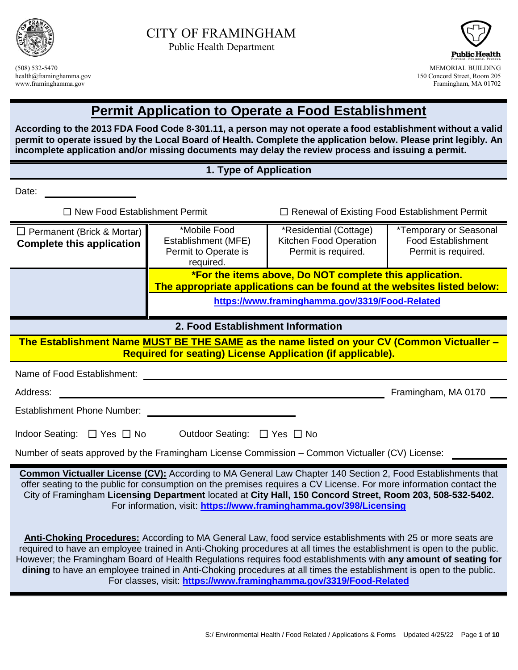



(508) 532-5470 MEMORIAL BUILDING 150 Concord Street, Room 205 www.framinghamma.gov Framingham, MA 01702

## **Permit Application to Operate a Food Establishment**

**According to the 2013 FDA Food Code 8-301.11, a person may not operate a food establishment without a valid permit to operate issued by the Local Board of Health. Complete the application below. Please print legibly. An incomplete application and/or missing documents may delay the review process and issuing a permit.**

#### **1. Type of Application**

Date:

☐ New Food Establishment Permit ☐ Renewal of Existing Food Establishment Permit

| $\Box$ Permanent (Brick & Mortar)<br><b>Complete this application</b> | *Mobile Food<br>Establishment (MFE)<br>Permit to Operate is<br>required. | *Residential (Cottage)<br>Kitchen Food Operation<br>Permit is required.                                                                                                              | <i>*Temporary or Seasonal</i><br><b>Food Establishment</b><br>Permit is required. |
|-----------------------------------------------------------------------|--------------------------------------------------------------------------|--------------------------------------------------------------------------------------------------------------------------------------------------------------------------------------|-----------------------------------------------------------------------------------|
|                                                                       |                                                                          | *For the items above, Do NOT complete this application.<br>The appropriate applications can be found at the websites listed below:<br>https://www.framinghamma.gov/3319/Food-Related |                                                                                   |

#### **2. Food Establishment Information**

**The Establishment Name MUST BE THE SAME as the name listed on your CV (Common Victualler – Required for seating) License Application (if applicable).**

Name of Food Establishment: We have a set of the set of the set of the set of the set of the set of the set of the set of the set of the set of the set of the set of the set of the set of the set of the set of the set of t

Address: Framingham, MA 0170

Establishment Phone Number:

| Indoor Seating: □ Yes □ No | Outdoor Seating: □ Yes □ No |  |
|----------------------------|-----------------------------|--|

Number of seats approved by the Framingham License Commission – Common Victualler (CV) License:

**Common Victualler License (CV):** According to MA General Law Chapter 140 Section 2, Food Establishments that offer seating to the public for consumption on the premises requires a CV License. For more information contact the City of Framingham **Licensing Department** located at **City Hall, 150 Concord Street, Room 203, 508-532-5402.** For information, visit: **<https://www.framinghamma.gov/398/Licensing>**

**Anti-Choking Procedures:** According to MA General Law, food service establishments with 25 or more seats are required to have an employee trained in Anti-Choking procedures at all times the establishment is open to the public. However; the Framingham Board of Health Regulations requires food establishments with **any amount of seating for dining** to have an employee trained in Anti-Choking procedures at all times the establishment is open to the public. For classes, visit: **<https://www.framinghamma.gov/3319/Food-Related>**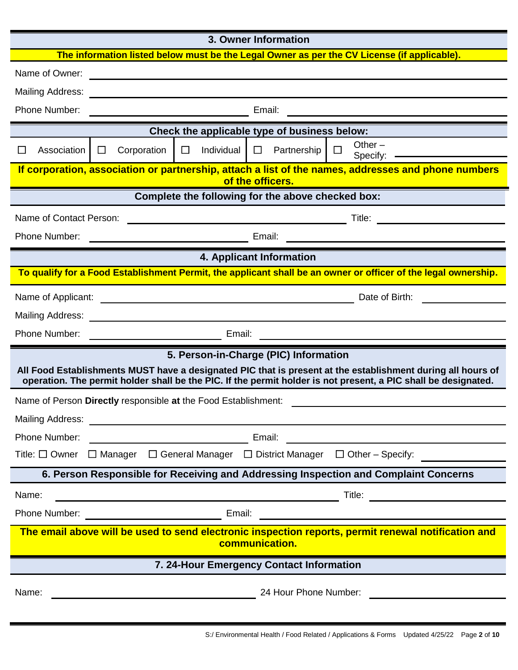## **3. Owner Information The information listed below must be the Legal Owner as per the CV License (if applicable).** Name of Owner: Mailing Address: Website and the Mailing Address of the Mail and the Mail and the Mail and the Mail and the Mail and the Mail and the Mail and the Mail and the Mail and the Mail and the Mail and the Mail and the Mail and t Phone Number: The Contract of the Contract of Email: Email: The Contract of the Contract of the Contract of the Contract of the Contract of the Contract of the Contract of the Contract of the Contract of the Contract of th **Check the applicable type of business below:** ☐ Association ☐ Corporation ☐ Individual ☐ Partnership ☐ Other – Specify:  $-$ **If corporation, association or partnership, attach a list of the names, addresses and phone numbers of the officers. Complete the following for the above checked box:** Name of Contact Person: Title: Phone Number: Email: **4. Applicant Information To qualify for a Food Establishment Permit, the applicant shall be an owner or officer of the legal ownership.** Name of Applicant:  $\Box$  Date of Birth: Mailing Address: with the contract of the contract of the contract of the contract of the contract of the contract of the contract of the contract of the contract of the contract of the contract of the contract of the cont Phone Number: Email: Email: Email: Email: Email: Email: Email: Email: Email: Email: Email: Email: Email: Email: Email: Email: Email: Email: Email: Email: Email: Email: Email: Email: Email: Email: Email: Email: Email: Email **5. Person-in-Charge (PIC) Information All Food Establishments MUST have a designated PIC that is present at the establishment during all hours of operation. The permit holder shall be the PIC. If the permit holder is not present, a PIC shall be designated.** Name of Person **Directly** responsible **at** the Food Establishment: Mailing Address: Phone Number: Email: Title: ☐ Owner ☐ Manager ☐ General Manager ☐ District Manager ☐ Other – Specify: **6. Person Responsible for Receiving and Addressing Inspection and Complaint Concerns** Name: Title: Phone Number: Sales and the Contract of Email: Email: **The email above will be used to send electronic inspection reports, permit renewal notification and communication. 7. 24-Hour Emergency Contact Information** Name: 24 Hour Phone Number: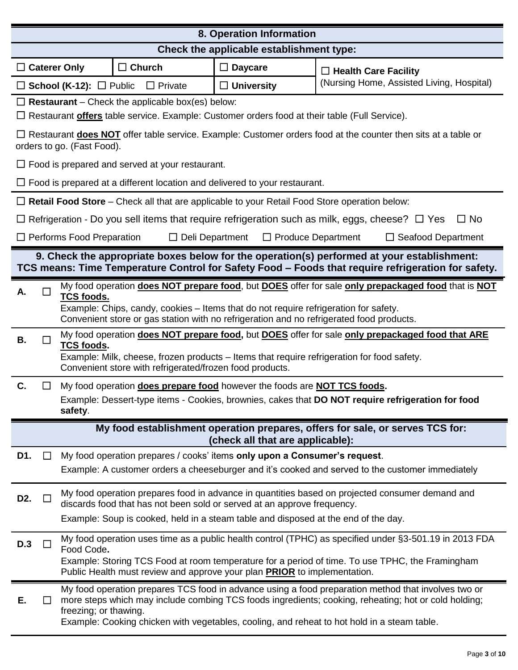| 8. Operation Information                                                                                          |                                                                                                                                                                                                                                                                                |                        |                                                                                                     |                                                                                                                                                                                                                                                                                                            |
|-------------------------------------------------------------------------------------------------------------------|--------------------------------------------------------------------------------------------------------------------------------------------------------------------------------------------------------------------------------------------------------------------------------|------------------------|-----------------------------------------------------------------------------------------------------|------------------------------------------------------------------------------------------------------------------------------------------------------------------------------------------------------------------------------------------------------------------------------------------------------------|
| Check the applicable establishment type:                                                                          |                                                                                                                                                                                                                                                                                |                        |                                                                                                     |                                                                                                                                                                                                                                                                                                            |
| $\Box$ Caterer Only                                                                                               | $\Box$ Church                                                                                                                                                                                                                                                                  |                        | $\Box$ Daycare                                                                                      | $\Box$ Health Care Facility                                                                                                                                                                                                                                                                                |
|                                                                                                                   | $\Box$ School (K-12): $\Box$ Public                                                                                                                                                                                                                                            | $\Box$ Private         | $\Box$ University                                                                                   | (Nursing Home, Assisted Living, Hospital)                                                                                                                                                                                                                                                                  |
|                                                                                                                   | <b>Restaurant</b> – Check the applicable box(es) below:                                                                                                                                                                                                                        |                        | Restaurant offers table service. Example: Customer orders food at their table (Full Service).       |                                                                                                                                                                                                                                                                                                            |
|                                                                                                                   | orders to go. (Fast Food).                                                                                                                                                                                                                                                     |                        |                                                                                                     | $\Box$ Restaurant <b>does NOT</b> offer table service. Example: Customer orders food at the counter then sits at a table or                                                                                                                                                                                |
|                                                                                                                   | $\Box$ Food is prepared and served at your restaurant.                                                                                                                                                                                                                         |                        |                                                                                                     |                                                                                                                                                                                                                                                                                                            |
|                                                                                                                   |                                                                                                                                                                                                                                                                                |                        | $\Box$ Food is prepared at a different location and delivered to your restaurant.                   |                                                                                                                                                                                                                                                                                                            |
|                                                                                                                   |                                                                                                                                                                                                                                                                                |                        | $\Box$ Retail Food Store – Check all that are applicable to your Retail Food Store operation below: |                                                                                                                                                                                                                                                                                                            |
|                                                                                                                   |                                                                                                                                                                                                                                                                                |                        |                                                                                                     | Refrigeration - Do you sell items that require refrigeration such as milk, eggs, cheese? $\Box$ Yes<br>$\Box$ No                                                                                                                                                                                           |
|                                                                                                                   | Performs Food Preparation                                                                                                                                                                                                                                                      | $\Box$ Deli Department | $\Box$ Produce Department                                                                           | $\Box$ Seafood Department                                                                                                                                                                                                                                                                                  |
|                                                                                                                   |                                                                                                                                                                                                                                                                                |                        |                                                                                                     | 9. Check the appropriate boxes below for the operation(s) performed at your establishment:<br>TCS means: Time Temperature Control for Safety Food - Foods that require refrigeration for safety.                                                                                                           |
|                                                                                                                   |                                                                                                                                                                                                                                                                                |                        |                                                                                                     |                                                                                                                                                                                                                                                                                                            |
| А.                                                                                                                | <b>TCS foods.</b>                                                                                                                                                                                                                                                              |                        | Example: Chips, candy, cookies – Items that do not require refrigeration for safety.                | My food operation does NOT prepare food, but DOES offer for sale only prepackaged food that is NOT<br>Convenient store or gas station with no refrigeration and no refrigerated food products.                                                                                                             |
| В.                                                                                                                | My food operation does NOT prepare food, but DOES offer for sale only prepackaged food that ARE<br><b>TCS foods.</b><br>Example: Milk, cheese, frozen products – Items that require refrigeration for food safety.<br>Convenient store with refrigerated/frozen food products. |                        |                                                                                                     |                                                                                                                                                                                                                                                                                                            |
| C.                                                                                                                |                                                                                                                                                                                                                                                                                |                        | My food operation does prepare food however the foods are NOT TCS foods.                            |                                                                                                                                                                                                                                                                                                            |
| Example: Dessert-type items - Cookies, brownies, cakes that DO NOT require refrigeration for food<br>safety.      |                                                                                                                                                                                                                                                                                |                        |                                                                                                     |                                                                                                                                                                                                                                                                                                            |
| My food establishment operation prepares, offers for sale, or serves TCS for:<br>(check all that are applicable): |                                                                                                                                                                                                                                                                                |                        |                                                                                                     |                                                                                                                                                                                                                                                                                                            |
| D1.<br>ப                                                                                                          |                                                                                                                                                                                                                                                                                |                        | My food operation prepares / cooks' items only upon a Consumer's request.                           |                                                                                                                                                                                                                                                                                                            |
|                                                                                                                   |                                                                                                                                                                                                                                                                                |                        |                                                                                                     | Example: A customer orders a cheeseburger and it's cooked and served to the customer immediately                                                                                                                                                                                                           |
| D <sub>2</sub> .                                                                                                  |                                                                                                                                                                                                                                                                                |                        | discards food that has not been sold or served at an approve frequency.                             | My food operation prepares food in advance in quantities based on projected consumer demand and                                                                                                                                                                                                            |
|                                                                                                                   |                                                                                                                                                                                                                                                                                |                        | Example: Soup is cooked, held in a steam table and disposed at the end of the day.                  |                                                                                                                                                                                                                                                                                                            |
| <b>D.3</b>                                                                                                        | Food Code.                                                                                                                                                                                                                                                                     |                        | Public Health must review and approve your plan PRIOR to implementation.                            | My food operation uses time as a public health control (TPHC) as specified under §3-501.19 in 2013 FDA<br>Example: Storing TCS Food at room temperature for a period of time. To use TPHC, the Framingham                                                                                                  |
| Ε.                                                                                                                | freezing; or thawing.                                                                                                                                                                                                                                                          |                        |                                                                                                     | My food operation prepares TCS food in advance using a food preparation method that involves two or<br>more steps which may include combing TCS foods ingredients; cooking, reheating; hot or cold holding;<br>Example: Cooking chicken with vegetables, cooling, and reheat to hot hold in a steam table. |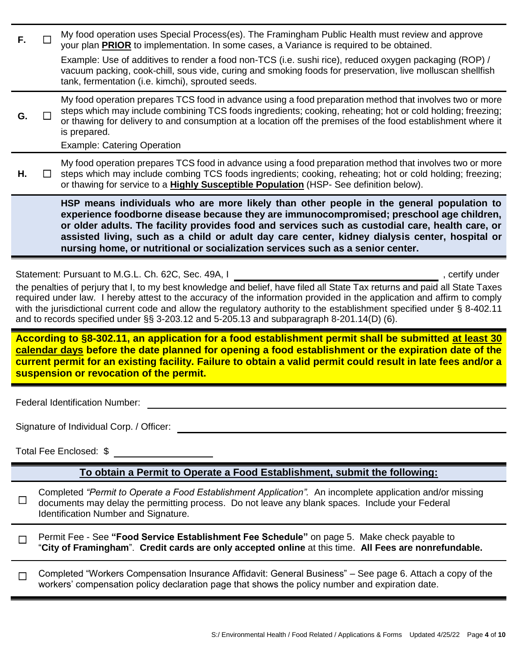| F.                                                                                                                                                                                                                                                                                                                                                                                                                                                                                                                                                      |                                                                                                                                                                                                      | My food operation uses Special Process(es). The Framingham Public Health must review and approve<br>your plan <b>PRIOR</b> to implementation. In some cases, a Variance is required to be obtained.                                                                                                                                                                                           |  |
|---------------------------------------------------------------------------------------------------------------------------------------------------------------------------------------------------------------------------------------------------------------------------------------------------------------------------------------------------------------------------------------------------------------------------------------------------------------------------------------------------------------------------------------------------------|------------------------------------------------------------------------------------------------------------------------------------------------------------------------------------------------------|-----------------------------------------------------------------------------------------------------------------------------------------------------------------------------------------------------------------------------------------------------------------------------------------------------------------------------------------------------------------------------------------------|--|
|                                                                                                                                                                                                                                                                                                                                                                                                                                                                                                                                                         |                                                                                                                                                                                                      | Example: Use of additives to render a food non-TCS (i.e. sushi rice), reduced oxygen packaging (ROP) /<br>vacuum packing, cook-chill, sous vide, curing and smoking foods for preservation, live molluscan shellfish<br>tank, fermentation (i.e. kimchi), sprouted seeds.                                                                                                                     |  |
| G.                                                                                                                                                                                                                                                                                                                                                                                                                                                                                                                                                      |                                                                                                                                                                                                      | My food operation prepares TCS food in advance using a food preparation method that involves two or more<br>steps which may include combining TCS foods ingredients; cooking, reheating; hot or cold holding; freezing;<br>or thawing for delivery to and consumption at a location off the premises of the food establishment where it<br>is prepared.<br><b>Example: Catering Operation</b> |  |
| Η.                                                                                                                                                                                                                                                                                                                                                                                                                                                                                                                                                      |                                                                                                                                                                                                      | My food operation prepares TCS food in advance using a food preparation method that involves two or more<br>steps which may include combing TCS foods ingredients; cooking, reheating; hot or cold holding; freezing;<br>or thawing for service to a <b>Highly Susceptible Population</b> (HSP- See definition below).                                                                        |  |
| HSP means individuals who are more likely than other people in the general population to<br>experience foodborne disease because they are immunocompromised; preschool age children,<br>or older adults. The facility provides food and services such as custodial care, health care, or<br>assisted living, such as a child or adult day care center, kidney dialysis center, hospital or<br>nursing home, or nutritional or socialization services such as a senior center.                                                                           |                                                                                                                                                                                                      |                                                                                                                                                                                                                                                                                                                                                                                               |  |
| Statement: Pursuant to M.G.L. Ch. 62C, Sec. 49A, I<br>, certify under<br>the penalties of perjury that I, to my best knowledge and belief, have filed all State Tax returns and paid all State Taxes<br>required under law. I hereby attest to the accuracy of the information provided in the application and affirm to comply<br>with the jurisdictional current code and allow the regulatory authority to the establishment specified under § 8-402.11<br>and to records specified under §§ 3-203.12 and 5-205.13 and subparagraph 8-201.14(D) (6). |                                                                                                                                                                                                      |                                                                                                                                                                                                                                                                                                                                                                                               |  |
| According to §8-302.11, an application for a food establishment permit shall be submitted at least 30<br>calendar days before the date planned for opening a food establishment or the expiration date of the<br>current permit for an existing facility. Failure to obtain a valid permit could result in late fees and/or a<br>suspension or revocation of the permit.                                                                                                                                                                                |                                                                                                                                                                                                      |                                                                                                                                                                                                                                                                                                                                                                                               |  |
|                                                                                                                                                                                                                                                                                                                                                                                                                                                                                                                                                         |                                                                                                                                                                                                      | <b>Federal Identification Number:</b>                                                                                                                                                                                                                                                                                                                                                         |  |
| Signature of Individual Corp. / Officer:                                                                                                                                                                                                                                                                                                                                                                                                                                                                                                                |                                                                                                                                                                                                      |                                                                                                                                                                                                                                                                                                                                                                                               |  |
| Total Fee Enclosed: \$                                                                                                                                                                                                                                                                                                                                                                                                                                                                                                                                  |                                                                                                                                                                                                      |                                                                                                                                                                                                                                                                                                                                                                                               |  |
|                                                                                                                                                                                                                                                                                                                                                                                                                                                                                                                                                         |                                                                                                                                                                                                      | To obtain a Permit to Operate a Food Establishment, submit the following:                                                                                                                                                                                                                                                                                                                     |  |
| ப                                                                                                                                                                                                                                                                                                                                                                                                                                                                                                                                                       |                                                                                                                                                                                                      | Completed "Permit to Operate a Food Establishment Application". An incomplete application and/or missing<br>documents may delay the permitting process. Do not leave any blank spaces. Include your Federal<br>Identification Number and Signature.                                                                                                                                           |  |
|                                                                                                                                                                                                                                                                                                                                                                                                                                                                                                                                                         | Permit Fee - See "Food Service Establishment Fee Schedule" on page 5. Make check payable to<br>"City of Framingham". Credit cards are only accepted online at this time. All Fees are nonrefundable. |                                                                                                                                                                                                                                                                                                                                                                                               |  |
|                                                                                                                                                                                                                                                                                                                                                                                                                                                                                                                                                         |                                                                                                                                                                                                      | Completed "Workers Compensation Insurance Affidavit: General Business" – See page 6. Attach a copy of the<br>workers' compensation policy declaration page that shows the policy number and expiration date.                                                                                                                                                                                  |  |
|                                                                                                                                                                                                                                                                                                                                                                                                                                                                                                                                                         |                                                                                                                                                                                                      |                                                                                                                                                                                                                                                                                                                                                                                               |  |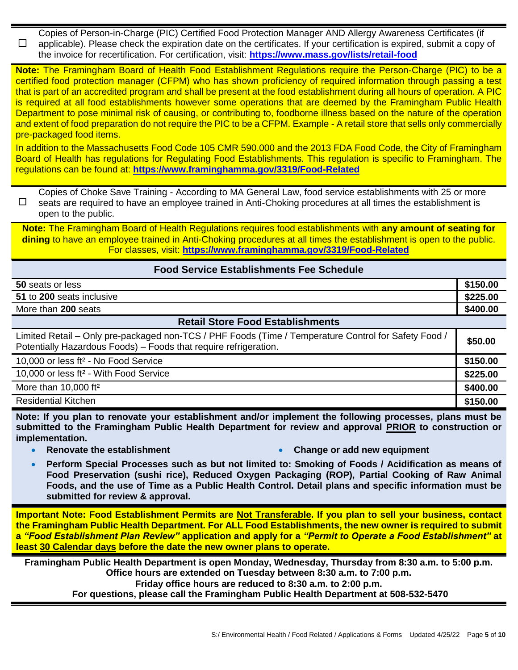☐ Copies of Person-in-Charge (PIC) Certified Food Protection Manager AND Allergy Awareness Certificates (if applicable). Please check the expiration date on the certificates. If your certification is expired, submit a copy of the invoice for recertification. For certification, visit: **<https://www.mass.gov/lists/retail-food>**

**Note:** The Framingham Board of Health Food Establishment Regulations require the Person-Charge (PIC) to be a certified food protection manager (CFPM) who has shown proficiency of required information through passing a test that is part of an accredited program and shall be present at the food establishment during all hours of operation. A PIC is required at all food establishments however some operations that are deemed by the Framingham Public Health Department to pose minimal risk of causing, or contributing to, foodborne illness based on the nature of the operation and extent of food preparation do not require the PIC to be a CFPM. Example - A retail store that sells only commercially pre-packaged food items.

In addition to the Massachusetts Food Code 105 CMR 590.000 and the 2013 FDA Food Code, the City of Framingham Board of Health has regulations for Regulating Food Establishments. This regulation is specific to Framingham. The regulations can be found at: **<https://www.framinghamma.gov/3319/Food-Related>**

☐ Copies of Choke Save Training - According to MA General Law, food service establishments with 25 or more seats are required to have an employee trained in Anti-Choking procedures at all times the establishment is open to the public.

**Note:** The Framingham Board of Health Regulations requires food establishments with **any amount of seating for dining** to have an employee trained in Anti-Choking procedures at all times the establishment is open to the public. For classes, visit: **<https://www.framinghamma.gov/3319/Food-Related>**

#### **Food Service Establishments Fee Schedule**

| 50 seats or less          | \$150.00 |
|---------------------------|----------|
| 51 to 200 seats inclusive | \$225.00 |
| More than 200 seats       | \$400.00 |

#### **Retail Store Food Establishments**

| Limited Retail – Only pre-packaged non-TCS / PHF Foods (Time / Temperature Control for Safety Food /<br>Potentially Hazardous Foods) - Foods that require refrigeration. | \$50.00  |
|--------------------------------------------------------------------------------------------------------------------------------------------------------------------------|----------|
| 10,000 or less ft <sup>2</sup> - No Food Service                                                                                                                         | \$150.00 |
| 10,000 or less ft <sup>2</sup> - With Food Service                                                                                                                       | \$225.00 |
| More than $10,000$ ft <sup>2</sup>                                                                                                                                       | \$400.00 |
| <b>Residential Kitchen</b>                                                                                                                                               | \$150.00 |

**Note: If you plan to renovate your establishment and/or implement the following processes, plans must be submitted to the Framingham Public Health Department for review and approval PRIOR to construction or implementation.** 

- 
- **Renovate the establishment Change or add new equipment**
- **Perform Special Processes such as but not limited to: Smoking of Foods / Acidification as means of Food Preservation (sushi rice), Reduced Oxygen Packaging (ROP), Partial Cooking of Raw Animal Foods, and the use of Time as a Public Health Control. Detail plans and specific information must be submitted for review & approval.**

**Important Note: Food Establishment Permits are Not Transferable. If you plan to sell your business, contact the Framingham Public Health Department. For ALL Food Establishments, the new owner is required to submit a** *"Food Establishment Plan Review"* **application and apply for a** *"Permit to Operate a Food Establishment"* **at least 30 Calendar days before the date the new owner plans to operate.** 

**Framingham Public Health Department is open Monday, Wednesday, Thursday from 8:30 a.m. to 5:00 p.m. Office hours are extended on Tuesday between 8:30 a.m. to 7:00 p.m. Friday office hours are reduced to 8:30 a.m. to 2:00 p.m. For questions, please call the Framingham Public Health Department at 508-532-5470**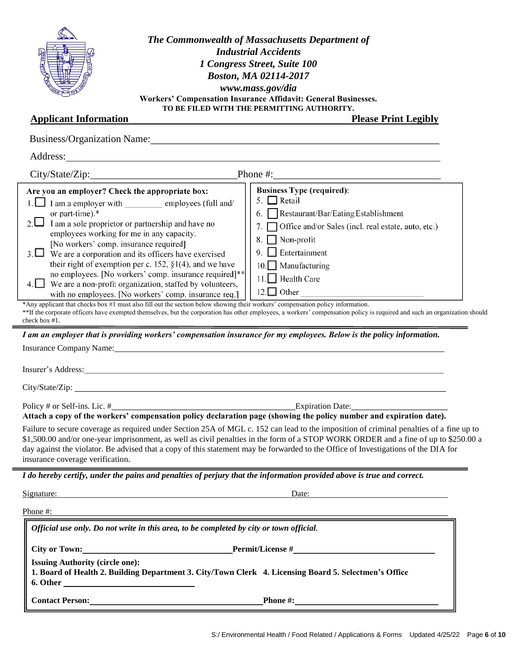

*The Commonwealth of Massachusetts Department of Industrial Accidents 1 Congress Street, Suite 100 Boston, MA 02114-2017 www.mass.gov/dia* **Workers' Compensation Insurance Affidavit: General Businesses. TO BE FILED WITH THE PERMITTING AUTHORITY.**

#### **Applicant Information Please Print Legibly**

| Are you an employer? Check the appropriate box:<br>1. I am a employer with employees (full and/<br>or part-time).*<br>2. $\Box$ I am a sole proprietor or partnership and have no<br>employees working for me in any capacity.<br>[No workers' comp. insurance required]<br>$3. \Box$ We are a corporation and its officers have exercised<br>their right of exemption per c. 152, $\S1(4)$ , and we have<br>no employees. [No workers' comp. insurance required]**<br>$4.$ We are a non-profit organization, staffed by volunteers,<br>with no employees. [No workers' comp. insurance req.]<br>check box #1. | <b>Business Type (required):</b><br>5. $\Box$ Retail<br>6. Restaurant/Bar/Eating Establishment<br>Office and/or Sales (incl. real estate, auto, etc.)<br>Non-profit<br>9. $\Box$ Entertainment<br>10. Manufacturing<br>11. Health Care<br>*Any applicant that checks box #1 must also fill out the section below showing their workers' compensation policy information.<br>**If the corporate officers have exempted themselves, but the corporation has other employees, a workers' compensation policy is required and such an organization should<br>I am an employer that is providing workers' compensation insurance for my employees. Below is the policy information. |
|----------------------------------------------------------------------------------------------------------------------------------------------------------------------------------------------------------------------------------------------------------------------------------------------------------------------------------------------------------------------------------------------------------------------------------------------------------------------------------------------------------------------------------------------------------------------------------------------------------------|--------------------------------------------------------------------------------------------------------------------------------------------------------------------------------------------------------------------------------------------------------------------------------------------------------------------------------------------------------------------------------------------------------------------------------------------------------------------------------------------------------------------------------------------------------------------------------------------------------------------------------------------------------------------------------|
|                                                                                                                                                                                                                                                                                                                                                                                                                                                                                                                                                                                                                | Insurance Company Name: Name of the Company Name of the Company Name of the Company Name of the Company Name of the Company Service of the Company Name of the Company Service of the Company Service of the Company Service o                                                                                                                                                                                                                                                                                                                                                                                                                                                 |
|                                                                                                                                                                                                                                                                                                                                                                                                                                                                                                                                                                                                                |                                                                                                                                                                                                                                                                                                                                                                                                                                                                                                                                                                                                                                                                                |
|                                                                                                                                                                                                                                                                                                                                                                                                                                                                                                                                                                                                                | Attach a copy of the workers' compensation policy declaration page (showing the policy number and expiration date).                                                                                                                                                                                                                                                                                                                                                                                                                                                                                                                                                            |
| insurance coverage verification.                                                                                                                                                                                                                                                                                                                                                                                                                                                                                                                                                                               | Failure to secure coverage as required under Section 25A of MGL c. 152 can lead to the imposition of criminal penalties of a fine up to<br>\$1,500.00 and/or one-year imprisonment, as well as civil penalties in the form of a STOP WORK ORDER and a fine of up to \$250.00 a<br>day against the violator. Be advised that a copy of this statement may be forwarded to the Office of Investigations of the DIA for                                                                                                                                                                                                                                                           |
|                                                                                                                                                                                                                                                                                                                                                                                                                                                                                                                                                                                                                | I do hereby certify, under the pains and penalties of perjury that the information provided above is true and correct.                                                                                                                                                                                                                                                                                                                                                                                                                                                                                                                                                         |
| Signature:                                                                                                                                                                                                                                                                                                                                                                                                                                                                                                                                                                                                     | Date:                                                                                                                                                                                                                                                                                                                                                                                                                                                                                                                                                                                                                                                                          |
| Phone #:                                                                                                                                                                                                                                                                                                                                                                                                                                                                                                                                                                                                       |                                                                                                                                                                                                                                                                                                                                                                                                                                                                                                                                                                                                                                                                                |
|                                                                                                                                                                                                                                                                                                                                                                                                                                                                                                                                                                                                                | Official use only. Do not write in this area, to be completed by city or town official.                                                                                                                                                                                                                                                                                                                                                                                                                                                                                                                                                                                        |
| City or Town:                                                                                                                                                                                                                                                                                                                                                                                                                                                                                                                                                                                                  |                                                                                                                                                                                                                                                                                                                                                                                                                                                                                                                                                                                                                                                                                |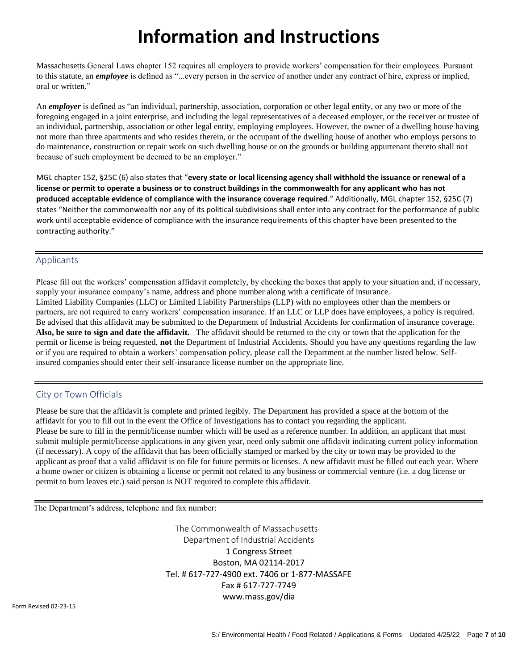# **Information and Instructions**

Massachusetts General Laws chapter 152 requires all employers to provide workers' compensation for their employees. Pursuant to this statute, an *employee* is defined as "...every person in the service of another under any contract of hire, express or implied, oral or written."

An *employer* is defined as "an individual, partnership, association, corporation or other legal entity, or any two or more of the foregoing engaged in a joint enterprise, and including the legal representatives of a deceased employer, or the receiver or trustee of an individual, partnership, association or other legal entity, employing employees. However, the owner of a dwelling house having not more than three apartments and who resides therein, or the occupant of the dwelling house of another who employs persons to do maintenance, construction or repair work on such dwelling house or on the grounds or building appurtenant thereto shall not because of such employment be deemed to be an employer."

MGL chapter 152, §25C (6) also states that "**every state or local licensing agency shall withhold the issuance or renewal of a license or permit to operate a business or to construct buildings in the commonwealth for any applicant who has not produced acceptable evidence of compliance with the insurance coverage required**." Additionally, MGL chapter 152, §25C (7) states "Neither the commonwealth nor any of its political subdivisions shall enter into any contract for the performance of public work until acceptable evidence of compliance with the insurance requirements of this chapter have been presented to the contracting authority."

#### Applicants

Please fill out the workers' compensation affidavit completely, by checking the boxes that apply to your situation and, if necessary, supply your insurance company's name, address and phone number along with a certificate of insurance. Limited Liability Companies (LLC) or Limited Liability Partnerships (LLP) with no employees other than the members or partners, are not required to carry workers' compensation insurance. If an LLC or LLP does have employees, a policy is required. Be advised that this affidavit may be submitted to the Department of Industrial Accidents for confirmation of insurance coverage. **Also, be sure to sign and date the affidavit.** The affidavit should be returned to the city or town that the application for the permit or license is being requested, **not** the Department of Industrial Accidents. Should you have any questions regarding the law or if you are required to obtain a workers' compensation policy, please call the Department at the number listed below. Selfinsured companies should enter their self-insurance license number on the appropriate line.

#### City or Town Officials

Please be sure that the affidavit is complete and printed legibly. The Department has provided a space at the bottom of the affidavit for you to fill out in the event the Office of Investigations has to contact you regarding the applicant. Please be sure to fill in the permit/license number which will be used as a reference number. In addition, an applicant that must submit multiple permit/license applications in any given year, need only submit one affidavit indicating current policy information (if necessary). A copy of the affidavit that has been officially stamped or marked by the city or town may be provided to the applicant as proof that a valid affidavit is on file for future permits or licenses. A new affidavit must be filled out each year. Where a home owner or citizen is obtaining a license or permit not related to any business or commercial venture (i.e. a dog license or permit to burn leaves etc.) said person is NOT required to complete this affidavit.

The Department's address, telephone and fax number:

 The Commonwealth of Massachusetts Department of Industrial Accidents 1 Congress Street Boston, MA 02114-2017 Tel. # 617-727-4900 ext. 7406 or 1-877-MASSAFE Fax # 617-727-7749 [www.mass.gov/dia](http://www.mass.gov/dia)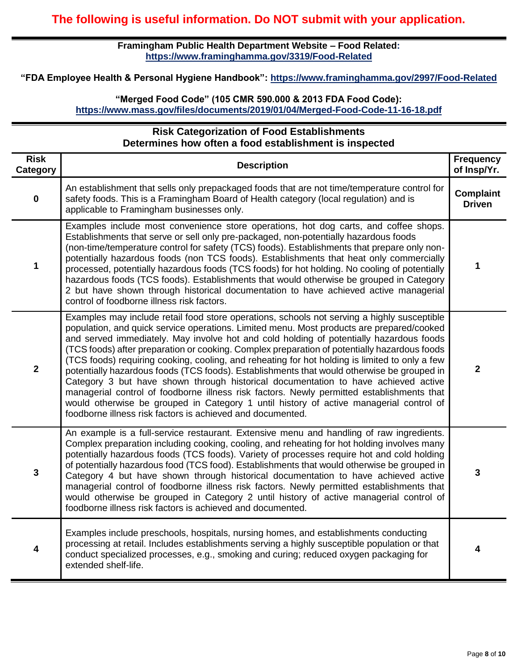**Framingham Public Health Department Website – Food Related: <https://www.framinghamma.gov/3319/Food-Related>**

**"FDA Employee Health & Personal Hygiene Handbook": <https://www.framinghamma.gov/2997/Food-Related>**

#### **"Merged Food Code" (105 CMR 590.000 & 2013 FDA Food Code): <https://www.mass.gov/files/documents/2019/01/04/Merged-Food-Code-11-16-18.pdf>**

#### **Risk Categorization of Food Establishments Determines how often a food establishment is inspected**

| <b>Risk</b><br><b>Category</b> | <b>Description</b>                                                                                                                                                                                                                                                                                                                                                                                                                                                                                                                                                                                                                                                                                                                                                                                                                                                                                                             | <b>Frequency</b><br>of Insp/Yr.   |
|--------------------------------|--------------------------------------------------------------------------------------------------------------------------------------------------------------------------------------------------------------------------------------------------------------------------------------------------------------------------------------------------------------------------------------------------------------------------------------------------------------------------------------------------------------------------------------------------------------------------------------------------------------------------------------------------------------------------------------------------------------------------------------------------------------------------------------------------------------------------------------------------------------------------------------------------------------------------------|-----------------------------------|
| $\mathbf 0$                    | An establishment that sells only prepackaged foods that are not time/temperature control for<br>safety foods. This is a Framingham Board of Health category (local regulation) and is<br>applicable to Framingham businesses only.                                                                                                                                                                                                                                                                                                                                                                                                                                                                                                                                                                                                                                                                                             | <b>Complaint</b><br><b>Driven</b> |
| 1                              | Examples include most convenience store operations, hot dog carts, and coffee shops.<br>Establishments that serve or sell only pre-packaged, non-potentially hazardous foods<br>(non-time/temperature control for safety (TCS) foods). Establishments that prepare only non-<br>potentially hazardous foods (non TCS foods). Establishments that heat only commercially<br>processed, potentially hazardous foods (TCS foods) for hot holding. No cooling of potentially<br>hazardous foods (TCS foods). Establishments that would otherwise be grouped in Category<br>2 but have shown through historical documentation to have achieved active managerial<br>control of foodborne illness risk factors.                                                                                                                                                                                                                      | 1                                 |
| $\mathbf{2}$                   | Examples may include retail food store operations, schools not serving a highly susceptible<br>population, and quick service operations. Limited menu. Most products are prepared/cooked<br>and served immediately. May involve hot and cold holding of potentially hazardous foods<br>(TCS foods) after preparation or cooking. Complex preparation of potentially hazardous foods<br>(TCS foods) requiring cooking, cooling, and reheating for hot holding is limited to only a few<br>potentially hazardous foods (TCS foods). Establishments that would otherwise be grouped in<br>Category 3 but have shown through historical documentation to have achieved active<br>managerial control of foodborne illness risk factors. Newly permitted establishments that<br>would otherwise be grouped in Category 1 until history of active managerial control of<br>foodborne illness risk factors is achieved and documented. | $\overline{2}$                    |
| $\mathbf{3}$                   | An example is a full-service restaurant. Extensive menu and handling of raw ingredients.<br>Complex preparation including cooking, cooling, and reheating for hot holding involves many<br>potentially hazardous foods (TCS foods). Variety of processes require hot and cold holding<br>of potentially hazardous food (TCS food). Establishments that would otherwise be grouped in<br>Category 4 but have shown through historical documentation to have achieved active<br>managerial control of foodborne illness risk factors. Newly permitted establishments that<br>would otherwise be grouped in Category 2 until history of active managerial control of<br>foodborne illness risk factors is achieved and documented.                                                                                                                                                                                                | 3                                 |
| 4                              | Examples include preschools, hospitals, nursing homes, and establishments conducting<br>processing at retail. Includes establishments serving a highly susceptible population or that<br>conduct specialized processes, e.g., smoking and curing; reduced oxygen packaging for<br>extended shelf-life.                                                                                                                                                                                                                                                                                                                                                                                                                                                                                                                                                                                                                         | 4                                 |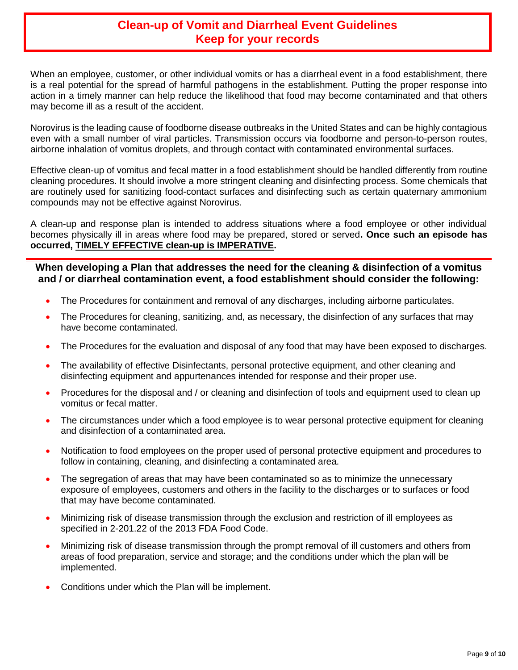### **Clean-up of Vomit and Diarrheal Event Guidelines Keep for your records**

When an employee, customer, or other individual vomits or has a diarrheal event in a food establishment, there is a real potential for the spread of harmful pathogens in the establishment. Putting the proper response into action in a timely manner can help reduce the likelihood that food may become contaminated and that others may become ill as a result of the accident.

Norovirus is the leading cause of foodborne disease outbreaks in the United States and can be highly contagious even with a small number of viral particles. Transmission occurs via foodborne and person-to-person routes, airborne inhalation of vomitus droplets, and through contact with contaminated environmental surfaces.

Effective clean-up of vomitus and fecal matter in a food establishment should be handled differently from routine cleaning procedures. It should involve a more stringent cleaning and disinfecting process. Some chemicals that are routinely used for sanitizing food-contact surfaces and disinfecting such as certain quaternary ammonium compounds may not be effective against Norovirus.

A clean-up and response plan is intended to address situations where a food employee or other individual becomes physically ill in areas where food may be prepared, stored or served**. Once such an episode has occurred, TIMELY EFFECTIVE clean-up is IMPERATIVE.** 

#### **When developing a Plan that addresses the need for the cleaning & disinfection of a vomitus and / or diarrheal contamination event, a food establishment should consider the following:**

- The Procedures for containment and removal of any discharges, including airborne particulates.
- The Procedures for cleaning, sanitizing, and, as necessary, the disinfection of any surfaces that may have become contaminated.
- The Procedures for the evaluation and disposal of any food that may have been exposed to discharges.
- The availability of effective Disinfectants, personal protective equipment, and other cleaning and disinfecting equipment and appurtenances intended for response and their proper use.
- Procedures for the disposal and / or cleaning and disinfection of tools and equipment used to clean up vomitus or fecal matter.
- The circumstances under which a food employee is to wear personal protective equipment for cleaning and disinfection of a contaminated area.
- Notification to food employees on the proper used of personal protective equipment and procedures to follow in containing, cleaning, and disinfecting a contaminated area.
- The segregation of areas that may have been contaminated so as to minimize the unnecessary exposure of employees, customers and others in the facility to the discharges or to surfaces or food that may have become contaminated.
- Minimizing risk of disease transmission through the exclusion and restriction of ill employees as specified in 2-201.22 of the 2013 FDA Food Code.
- Minimizing risk of disease transmission through the prompt removal of ill customers and others from areas of food preparation, service and storage; and the conditions under which the plan will be implemented.
- Conditions under which the Plan will be implement.